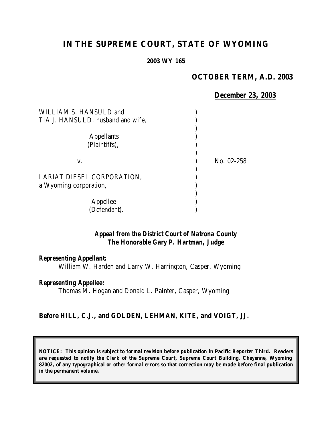# **IN THE SUPREME COURT, STATE OF WYOMING**

**2003 WY 165**

#### **OCTOBER TERM, A.D. 2003**

#### *December 23, 2003*

| WILLIAM S. HANSULD and<br>TIA J. HANSULD, husband and wife, |            |
|-------------------------------------------------------------|------------|
| <b>Appellants</b><br>(Plaintiffs),                          |            |
| V.                                                          | No. 02-258 |
| LARIAT DIESEL CORPORATION,<br>a Wyoming corporation,        |            |
| Appellee<br>(Defendant).                                    |            |

#### *Appeal from the District Court of Natrona County The Honorable Gary P. Hartman, Judge*

#### *Representing Appellant:*

William W. Harden and Larry W. Harrington, Casper, Wyoming

### *Representing Appellee:*

Thomas M. Hogan and Donald L. Painter, Casper, Wyoming

### **Before HILL, C.J., and GOLDEN, LEHMAN, KITE, and VOIGT, JJ.**

**NOTICE: This opinion is subject to formal revision before publication in Pacific Reporter Third. Readers are requested to notify the Clerk of the Supreme Court, Supreme Court Building, Cheyenne, Wyoming 82002, of any typographical or other formal errors so that correction may be made before final publication in the permanent volume.**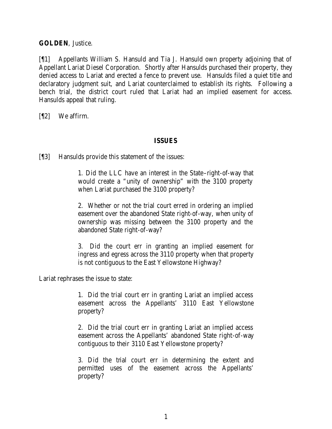**GOLDEN**, Justice.

[¶1] Appellants William S. Hansuld and Tia J. Hansuld own property adjoining that of Appellant Lariat Diesel Corporation. Shortly after Hansulds purchased their property, they denied access to Lariat and erected a fence to prevent use. Hansulds filed a quiet title and declaratory judgment suit, and Lariat counterclaimed to establish its rights. Following a bench trial, the district court ruled that Lariat had an implied easement for access. Hansulds appeal that ruling.

[¶2] We affirm.

### **ISSUES**

[¶3] Hansulds provide this statement of the issues:

1. Did the LLC have an interest in the State–right-of-way that would create a "unity of ownership" with the 3100 property when Lariat purchased the 3100 property?

2. Whether or not the trial court erred in ordering an implied easement over the abandoned State right-of-way, when unity of ownership was missing between the 3100 property and the abandoned State right-of-way?

3. Did the court err in granting an implied easement for ingress and egress across the 3110 property when that property is not contiguous to the East Yellowstone Highway?

Lariat rephrases the issue to state:

1. Did the trial court err in granting Lariat an implied access easement across the Appellants' 3110 East Yellowstone property?

2. Did the trial court err in granting Lariat an implied access easement across the Appellants' abandoned State right-of-way contiguous to their 3110 East Yellowstone property?

3. Did the trial court err in determining the extent and permitted uses of the easement across the Appellants' property?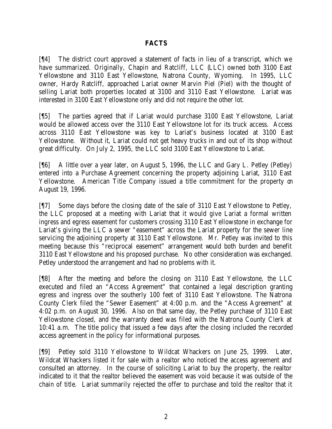### **FACTS**

[¶4] The district court approved a statement of facts in lieu of a transcript, which we have summarized. Originally, Chapin and Ratcliff, LLC (LLC) owned both 3100 East Yellowstone and 3110 East Yellowstone, Natrona County, Wyoming. In 1995, LLC owner, Hardy Ratcliff, approached Lariat owner Marvin Piel (Piel) with the thought of selling Lariat both properties located at 3100 and 3110 East Yellowstone. Lariat was interested in 3100 East Yellowstone only and did not require the other lot.

[¶5] The parties agreed that if Lariat would purchase 3100 East Yellowstone, Lariat would be allowed access over the 3110 East Yellowstone lot for its truck access. Access across 3110 East Yellowstone was key to Lariat's business located at 3100 East Yellowstone. Without it, Lariat could not get heavy trucks in and out of its shop without great difficulty. On July 2, 1995, the LLC sold 3100 East Yellowstone to Lariat.

[¶6] A little over a year later, on August 5, 1996, the LLC and Gary L. Petley (Petley) entered into a Purchase Agreement concerning the property adjoining Lariat, 3110 East Yellowstone. American Title Company issued a title commitment for the property on August 19, 1996.

[¶7] Some days before the closing date of the sale of 3110 East Yellowstone to Petley, the LLC proposed at a meeting with Lariat that it would give Lariat a formal written ingress and egress easement for customers crossing 3110 East Yellowstone in exchange for Lariat's giving the LLC a sewer "easement" across the Lariat property for the sewer line servicing the adjoining property at 3110 East Yellowstone. Mr. Petley was invited to this meeting because this "reciprocal easement" arrangement would both burden and benefit 3110 East Yellowstone and his proposed purchase. No other consideration was exchanged. Petley understood the arrangement and had no problems with it.

[¶8] After the meeting and before the closing on 3110 East Yellowstone, the LLC executed and filed an "Access Agreement" that contained a legal description granting egress and ingress over the southerly 100 feet of 3110 East Yellowstone. The Natrona County Clerk filed the "Sewer Easement" at 4:00 p.m. and the "Access Agreement" at 4:02 p.m. on August 30, 1996. Also on that same day, the Petley purchase of 3110 East Yellowstone closed, and the warranty deed was filed with the Natrona County Clerk at 10:41 a.m. The title policy that issued a few days after the closing included the recorded access agreement in the policy for informational purposes.

[¶9] Petley sold 3110 Yellowstone to Wildcat Whackers on June 25, 1999. Later, Wildcat Whackers listed it for sale with a realtor who noticed the access agreement and consulted an attorney. In the course of soliciting Lariat to buy the property, the realtor indicated to it that the realtor believed the easement was void because it was outside of the chain of title. Lariat summarily rejected the offer to purchase and told the realtor that it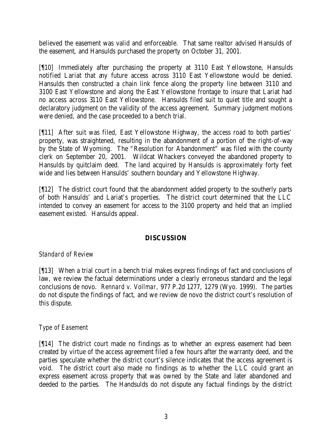believed the easement was valid and enforceable. That same realtor advised Hansulds of the easement, and Hansulds purchased the property on October 31, 2001.

[¶10] Immediately after purchasing the property at 3110 East Yellowstone, Hansulds notified Lariat that any future access across 3110 East Yellowstone would be denied. Hansulds then constructed a chain link fence along the property line between 3110 and 3100 East Yellowstone and along the East Yellowstone frontage to insure that Lariat had no access across 3110 East Yellowstone. Hansulds filed suit to quiet title and sought a declaratory judgment on the validity of the access agreement. Summary judgment motions were denied, and the case proceeded to a bench trial.

[¶11] After suit was filed, East Yellowstone Highway, the access road to both parties' property, was straightened, resulting in the abandonment of a portion of the right-of-way by the State of Wyoming. The "Resolution for Abandonment" was filed with the county clerk on September 20, 2001. Wildcat Whackers conveyed the abandoned property to Hansulds by quitclaim deed. The land acquired by Hansulds is approximately forty feet wide and lies between Hansulds' southern boundary and Yellowstone Highway.

[¶12] The district court found that the abandonment added property to the southerly parts of both Hansulds' and Lariat's properties. The district court determined that the LLC intended to convey an easement for access to the 3100 property and held that an implied easement existed. Hansulds appeal.

### **DISCUSSION**

## *Standard of Review*

[¶13] When a trial court in a bench trial makes express findings of fact and conclusions of law, we review the factual determinations under a clearly erroneous standard and the legal conclusions de novo. *Rennard v. Vollmar,* 977 P.2d 1277, 1279 (Wyo. 1999). The parties do not dispute the findings of fact, and we review de novo the district court's resolution of this dispute.

### *Type of Easement*

[¶14] The district court made no findings as to whether an express easement had been created by virtue of the access agreement filed a few hours after the warranty deed, and the parties speculate whether the district court's silence indicates that the access agreement is void. The district court also made no findings as to whether the LLC could grant an express easement across property that was owned by the State and later abandoned and deeded to the parties. The Handsulds do not dispute any factual findings by the district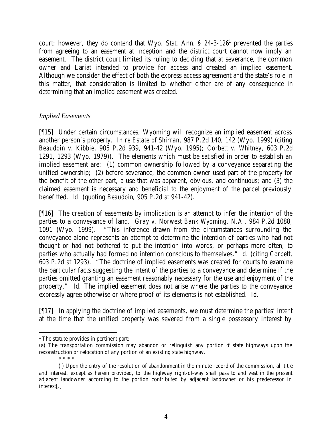court; however, they do contend that Wyo. Stat. Ann.  $\S$  24-3-126<sup>1</sup> prevented the parties from agreeing to an easement at inception and the district court cannot now imply an easement. The district court limited its ruling to deciding that at severance, the common owner and Lariat intended to provide for access and created an implied easement. Although we consider the effect of both the express access agreement and the state's role in this matter, that consideration is limited to whether either are of any consequence in determining that an implied easement was created.

### *Implied Easements*

[¶15] Under certain circumstances, Wyoming will recognize an implied easement across another person's property. *In re Estate of Shirran,* 987 P.2d 140, 142 (Wyo. 1999) (citing *Beaudoin v. Kibbie*, 905 P.2d 939, 941-42 (Wyo. 1995); *Corbett v. Whitney*, 603 P.2d 1291, 1293 (Wyo. 1979)). The elements which must be satisfied in order to establish an implied easement are: (1) common ownership followed by a conveyance separating the unified ownership; (2) before severance, the common owner used part of the property for the benefit of the other part, a use that was apparent, obvious, and continuous; and (3) the claimed easement is necessary and beneficial to the enjoyment of the parcel previously benefitted. *Id.* (quoting *Beaudoin*, 905 P.2d at 941-42).

[¶16] The creation of easements by implication is an attempt to infer the intention of the parties to a conveyance of land. *Gray v. Norwest Bank Wyoming, N.A.,* 984 P.2d 1088, 1091 (Wyo. 1999). "This inference drawn from the circumstances surrounding the conveyance alone represents an attempt to determine the intention of parties who had not thought or had not bothered to put the intention into words, or perhaps more often, to parties who actually had formed no intention conscious to themselves." *Id.* (citing *Corbett,* 603 P.2d at 1293). "The doctrine of implied easements was created for courts to examine the particular facts suggesting the intent of the parties to a conveyance and determine if the parties omitted granting an easement reasonably necessary for the use and enjoyment of the property." *Id.* The implied easement does not arise where the parties to the conveyance expressly agree otherwise or where proof of its elements is not established. *Id.*

[¶17] In applying the doctrine of implied easements, we must determine the parties' intent at the time that the unified property was severed from a single possessory interest by

<sup>&</sup>lt;sup>1</sup> The statute provides in pertinent part:

<sup>(</sup>a) The transportation commission may abandon or relinquish any portion of state highways upon the reconstruction or relocation of any portion of an existing state highway. \* \* \* \*

<sup>(</sup>i) Upon the entry of the resolution of abandonment in the minute record of the commission, all title and interest, except as herein provided, to the highway right-of-way shall pass to and vest in the present adjacent landowner according to the portion contributed by adjacent landowner or his predecessor in interest[.]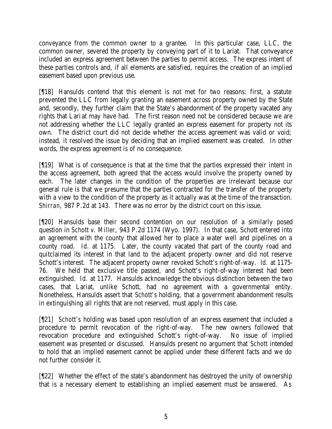conveyance from the common owner to a grantee. In this particular case, LLC, the common owner, severed the property by conveying part of it to Lariat. That conveyance included an express agreement between the parties to permit access. The express intent of these parties controls and, if all elements are satisfied, requires the creation of an implied easement based upon previous use.

[¶18] Hansulds contend that this element is not met for two reasons: first, a statute prevented the LLC from legally granting an easement across property owned by the State and, secondly, they further claim that the State's abandonment of the property vacated any rights that Lari at may have had. The first reason need not be considered because we are not addressing whether the LLC legally granted an express easement for property not its own. The district court did not decide whether the access agreement was valid or void; instead, it resolved the issue by deciding that an implied easement was created. In other words, the express agreement is of no consequence.

[¶19] What is of consequence is that at the time that the parties expressed their intent in the access agreement, both agreed that the access would involve the property owned by each. The later changes in the condition of the properties are irrelevant because our general rule is that we presume that the parties contracted for the transfer of the property with a view to the condition of the property as it actually was at the time of the transaction. *Shirran,* 987 P.2d at 143. There was no error by the district court on this issue.

[¶20] Hansulds base their second contention on our resolution of a similarly posed question in *Schott v. Miller,* 943 P.2d 1174 (Wyo. 1997). In that case, Schott entered into an agreement with the county that allowed her to place a water well and pipelines on a county road. *Id.* at 1175. Later, the county vacated that part of the county road and quitclaimed its interest in that land to the adjacent property owner and did not reserve Schott's interest. The adjacent property owner revoked Schott's right-of-way. *Id.* at 1175- 76. We held that exclusive title passed, and Schott's right-of-way interest had been extinguished. *Id.* at 1177. Hansulds acknowledge the obvious distinction between the two cases, that Lariat, unlike Schott, had no agreement with a governmental entity. Nonetheless, Hansulds assert that *Schott's* holding, that a government abandonment results in extinguishing all rights that are not reserved, must apply in this case.

[¶21] *Schott's* holding was based upon resolution of an express easement that included a procedure to permit revocation of the right-of-way. The new owners followed that revocation procedure and extinguished Schott's right-of-way. No issue of implied easement was presented or discussed. Hansulds present no argument that *Schott* intended to hold that an implied easement cannot be applied under these different facts and we do not further consider it.

[¶22] Whether the effect of the state's abandonment has destroyed the unity of ownership that is a necessary element to establishing an implied easement must be answered. As